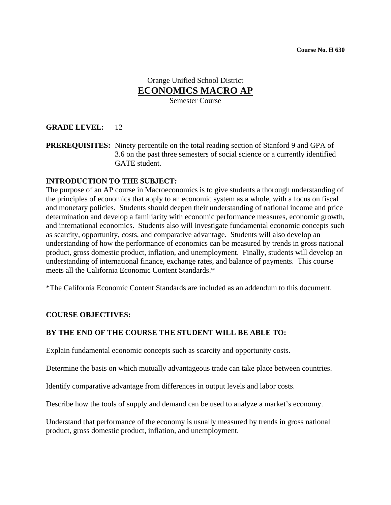## Orange Unified School District **ECONOMICS MACRO AP**

Semester Course

#### **GRADE LEVEL:** 12

**PREREQUISITES:** Ninety percentile on the total reading section of Stanford 9 and GPA of 3.6 on the past three semesters of social science or a currently identified GATE student.

#### **INTRODUCTION TO THE SUBJECT:**

The purpose of an AP course in Macroeconomics is to give students a thorough understanding of the principles of economics that apply to an economic system as a whole, with a focus on fiscal and monetary policies. Students should deepen their understanding of national income and price determination and develop a familiarity with economic performance measures, economic growth, and international economics. Students also will investigate fundamental economic concepts such as scarcity, opportunity, costs, and comparative advantage. Students will also develop an understanding of how the performance of economics can be measured by trends in gross national product, gross domestic product, inflation, and unemployment. Finally, students will develop an understanding of international finance, exchange rates, and balance of payments. This course meets all the California Economic Content Standards.\*

\*The California Economic Content Standards are included as an addendum to this document.

#### **COURSE OBJECTIVES:**

#### **BY THE END OF THE COURSE THE STUDENT WILL BE ABLE TO:**

Explain fundamental economic concepts such as scarcity and opportunity costs.

Determine the basis on which mutually advantageous trade can take place between countries.

Identify comparative advantage from differences in output levels and labor costs.

Describe how the tools of supply and demand can be used to analyze a market's economy.

Understand that performance of the economy is usually measured by trends in gross national product, gross domestic product, inflation, and unemployment.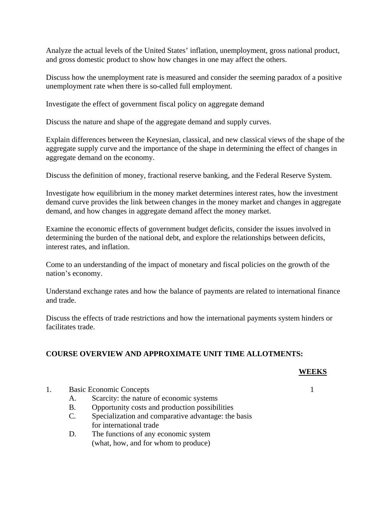Analyze the actual levels of the United States' inflation, unemployment, gross national product, and gross domestic product to show how changes in one may affect the others.

Discuss how the unemployment rate is measured and consider the seeming paradox of a positive unemployment rate when there is so-called full employment.

Investigate the effect of government fiscal policy on aggregate demand

Discuss the nature and shape of the aggregate demand and supply curves.

Explain differences between the Keynesian, classical, and new classical views of the shape of the aggregate supply curve and the importance of the shape in determining the effect of changes in aggregate demand on the economy.

Discuss the definition of money, fractional reserve banking, and the Federal Reserve System.

Investigate how equilibrium in the money market determines interest rates, how the investment demand curve provides the link between changes in the money market and changes in aggregate demand, and how changes in aggregate demand affect the money market.

Examine the economic effects of government budget deficits, consider the issues involved in determining the burden of the national debt, and explore the relationships between deficits, interest rates, and inflation.

Come to an understanding of the impact of monetary and fiscal policies on the growth of the nation's economy.

Understand exchange rates and how the balance of payments are related to international finance and trade.

Discuss the effects of trade restrictions and how the international payments system hinders or facilitates trade.

#### **COURSE OVERVIEW AND APPROXIMATE UNIT TIME ALLOTMENTS:**

#### **WEEKS**

- 1. Basic Economic Concepts 1
	- A. Scarcity: the nature of economic systems
	- B. Opportunity costs and production possibilities
	- C. Specialization and comparative advantage: the basis for international trade
	- D. The functions of any economic system (what, how, and for whom to produce)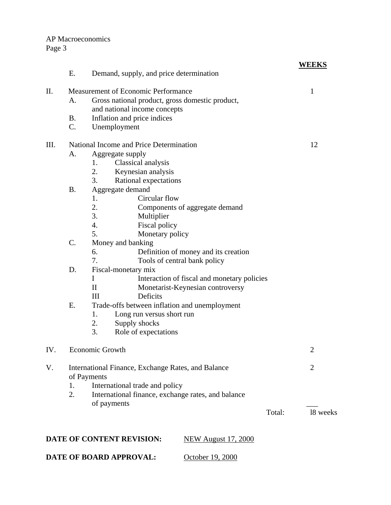## AP Macroeconomics Page 3

|     | Ε.                                      | Demand, supply, and price determination                           |        | WEEKS          |
|-----|-----------------------------------------|-------------------------------------------------------------------|--------|----------------|
|     |                                         |                                                                   |        |                |
| II. |                                         | Measurement of Economic Performance                               |        | 1              |
|     | A.                                      | Gross national product, gross domestic product,                   |        |                |
|     |                                         | and national income concepts                                      |        |                |
|     | <b>B.</b>                               | Inflation and price indices                                       |        |                |
|     | $C_{\cdot}$                             | Unemployment                                                      |        |                |
| Ш.  | National Income and Price Determination |                                                                   |        | 12             |
|     | A.                                      | Aggregate supply                                                  |        |                |
|     |                                         | Classical analysis<br>1.                                          |        |                |
|     |                                         | 2.<br>Keynesian analysis                                          |        |                |
|     |                                         | 3.<br>Rational expectations                                       |        |                |
|     | <b>B.</b>                               | Aggregate demand                                                  |        |                |
|     |                                         | Circular flow<br>1.                                               |        |                |
|     |                                         | 2.<br>Components of aggregate demand                              |        |                |
|     |                                         | 3.<br>Multiplier                                                  |        |                |
|     |                                         | 4.<br>Fiscal policy                                               |        |                |
|     |                                         | 5.<br>Monetary policy                                             |        |                |
|     | C.                                      | Money and banking                                                 |        |                |
|     |                                         | 6.<br>Definition of money and its creation                        |        |                |
|     |                                         | 7.<br>Tools of central bank policy                                |        |                |
|     | D.                                      | Fiscal-monetary mix                                               |        |                |
|     |                                         | $\mathbf I$<br>Interaction of fiscal and monetary policies        |        |                |
|     |                                         | $\mathbf{I}$<br>Monetarist-Keynesian controversy                  |        |                |
|     |                                         | Deficits<br>III                                                   |        |                |
|     | Ε.                                      | Trade-offs between inflation and unemployment                     |        |                |
|     |                                         | 1.<br>Long run versus short run                                   |        |                |
|     |                                         | 2.<br>Supply shocks                                               |        |                |
|     |                                         | 3.<br>Role of expectations                                        |        |                |
| IV. |                                         | <b>Economic Growth</b>                                            |        | $\overline{2}$ |
|     |                                         |                                                                   |        |                |
| V.  |                                         | International Finance, Exchange Rates, and Balance<br>of Payments |        | $\overline{2}$ |
|     | 1.                                      | International trade and policy                                    |        |                |
|     | 2.                                      | International finance, exchange rates, and balance                |        |                |
|     |                                         | of payments                                                       |        |                |
|     |                                         |                                                                   | Total: | 18 weeks       |
|     |                                         |                                                                   |        |                |
|     |                                         |                                                                   |        |                |
|     |                                         | DATE OF CONTENT REVISION:<br><b>NEW August 17, 2000</b>           |        |                |

**DATE OF BOARD APPROVAL:** October 19, 2000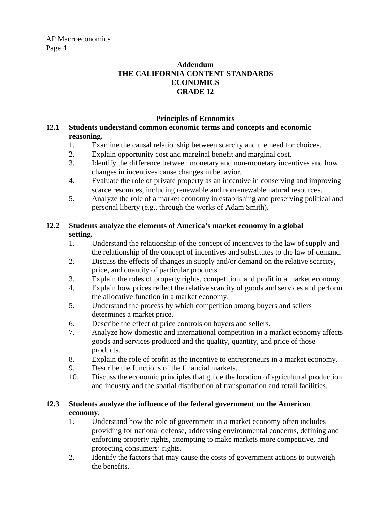AP Macroeconomics Page 4

#### **Addendum THE CALIFORNIA CONTENT STANDARDS ECONOMICS GRADE 12**

#### **Principles of Economics**

#### **12.1 Students understand common economic terms and concepts and economic reasoning.**

- 1. Examine the causal relationship between scarcity and the need for choices.
- 2. Explain opportunity cost and marginal benefit and marginal cost.
- 3. Identify the difference between monetary and non-monetary incentives and how changes in incentives cause changes in behavior.
- 4. Evaluate the role of private property as an incentive in conserving and improving scarce resources, including renewable and nonrenewable natural resources.
- 5. Analyze the role of a market economy in establishing and preserving political and personal liberty (e.g., through the works of Adam Smith).

### **12.2 Students analyze the elements of America's market economy in a global setting.**

- 1. Understand the relationship of the concept of incentives to the law of supply and the relationship of the concept of incentives and substitutes to the law of demand.
- 2. Discuss the effects of changes in supply and/or demand on the relative scarcity, price, and quantity of particular products.
- 3. Explain the roles of property rights, competition, and profit in a market economy.
- 4. Explain how prices reflect the relative scarcity of goods and services and perform the allocative function in a market economy.
- 5. Understand the process by which competition among buyers and sellers determines a market price.
- 6. Describe the effect of price controls on buyers and sellers.
- 7. Analyze how domestic and international competition in a market economy affects goods and services produced and the quality, quantity, and price of those products.
- 8. Explain the role of profit as the incentive to entrepreneurs in a market economy.
- 9. Describe the functions of the financial markets.
- 10. Discuss the economic principles that guide the location of agricultural production and industry and the spatial distribution of transportation and retail facilities.

#### **12.3 Students analyze the influence of the federal government on the American economy.**

- 1. Understand how the role of government in a market economy often includes providing for national defense, addressing environmental concerns, defining and enforcing property rights, attempting to make markets more competitive, and protecting consumers' rights.
- 2. Identify the factors that may cause the costs of government actions to outweigh the benefits.